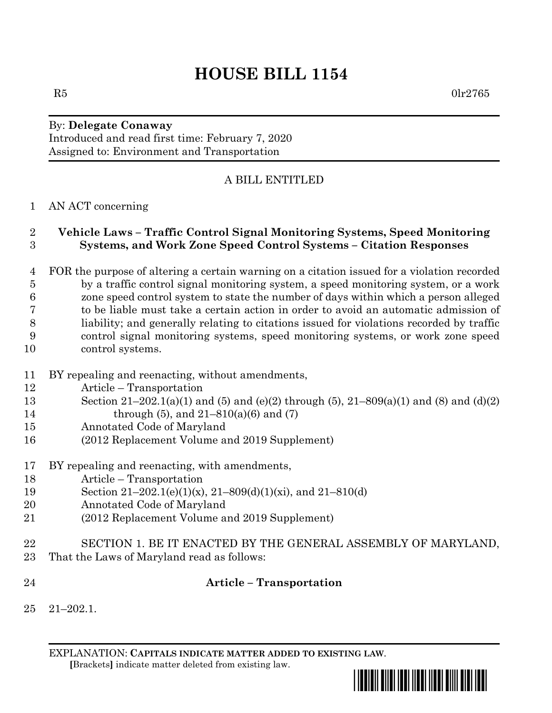# **HOUSE BILL 1154**

### By: **Delegate Conaway** Introduced and read first time: February 7, 2020

Assigned to: Environment and Transportation

# A BILL ENTITLED

## AN ACT concerning

## **Vehicle Laws – Traffic Control Signal Monitoring Systems, Speed Monitoring Systems, and Work Zone Speed Control Systems – Citation Responses**

 FOR the purpose of altering a certain warning on a citation issued for a violation recorded by a traffic control signal monitoring system, a speed monitoring system, or a work zone speed control system to state the number of days within which a person alleged to be liable must take a certain action in order to avoid an automatic admission of liability; and generally relating to citations issued for violations recorded by traffic control signal monitoring systems, speed monitoring systems, or work zone speed control systems.

- BY repealing and reenacting, without amendments,
- Article Transportation
- Section 21–202.1(a)(1) and (5) and (e)(2) through (5), 21–809(a)(1) and (8) and (d)(2) 14 through (5), and  $21-810(a)(6)$  and (7)
- Annotated Code of Maryland
- (2012 Replacement Volume and 2019 Supplement)
- BY repealing and reenacting, with amendments,
- Article Transportation
- Section 21–202.1(e)(1)(x), 21–809(d)(1)(xi), and 21–810(d)
- Annotated Code of Maryland
- (2012 Replacement Volume and 2019 Supplement)
- SECTION 1. BE IT ENACTED BY THE GENERAL ASSEMBLY OF MARYLAND, That the Laws of Maryland read as follows:
- 

# **Article – Transportation**

21–202.1.

EXPLANATION: **CAPITALS INDICATE MATTER ADDED TO EXISTING LAW**.  **[**Brackets**]** indicate matter deleted from existing law.

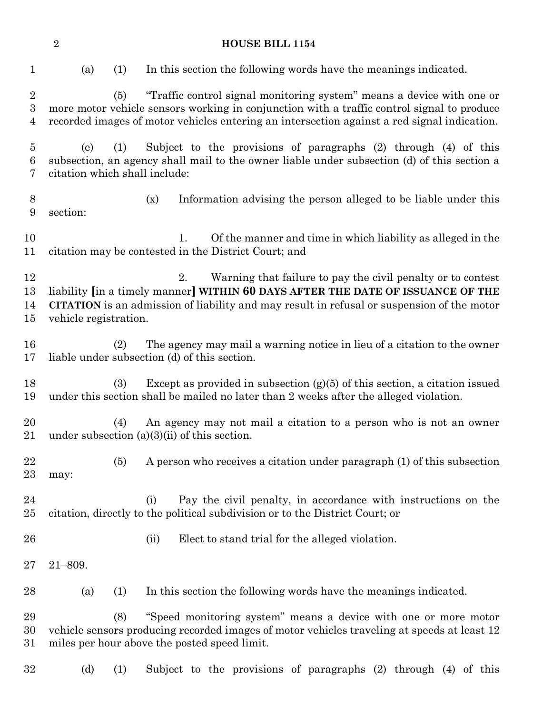|                                       | $\overline{2}$                       |     | <b>HOUSE BILL 1154</b>                                                                                                                                                                                                                                             |
|---------------------------------------|--------------------------------------|-----|--------------------------------------------------------------------------------------------------------------------------------------------------------------------------------------------------------------------------------------------------------------------|
| $\mathbf{1}$                          | (a)                                  | (1) | In this section the following words have the meanings indicated.                                                                                                                                                                                                   |
| $\overline{2}$<br>3<br>$\overline{4}$ |                                      | (5) | "Traffic control signal monitoring system" means a device with one or<br>more motor vehicle sensors working in conjunction with a traffic control signal to produce<br>recorded images of motor vehicles entering an intersection against a red signal indication. |
| $\overline{5}$<br>6<br>7              | (e)<br>citation which shall include: | (1) | Subject to the provisions of paragraphs (2) through (4) of this<br>subsection, an agency shall mail to the owner liable under subsection (d) of this section a                                                                                                     |
| 8<br>9                                | section:                             |     | Information advising the person alleged to be liable under this<br>(x)                                                                                                                                                                                             |
| 10<br>11                              |                                      |     | Of the manner and time in which liability as alleged in the<br>1.<br>citation may be contested in the District Court; and                                                                                                                                          |
| 12<br>13<br>14<br>15                  | vehicle registration.                |     | 2.<br>Warning that failure to pay the civil penalty or to contest<br>liability [in a timely manner] WITHIN 60 DAYS AFTER THE DATE OF ISSUANCE OF THE<br>CITATION is an admission of liability and may result in refusal or suspension of the motor                 |
| 16<br>17                              |                                      | (2) | The agency may mail a warning notice in lieu of a citation to the owner<br>liable under subsection (d) of this section.                                                                                                                                            |
| 18<br>19                              |                                      | (3) | Except as provided in subsection $(g)(5)$ of this section, a citation issued<br>under this section shall be mailed no later than 2 weeks after the alleged violation.                                                                                              |
| 20<br>$21\,$                          |                                      | (4) | An agency may not mail a citation to a person who is not an owner<br>under subsection $(a)(3)(ii)$ of this section.                                                                                                                                                |
| 22<br>$23\,$                          | may:                                 | (5) | A person who receives a citation under paragraph (1) of this subsection                                                                                                                                                                                            |
| 24<br>$25\,$                          |                                      |     | Pay the civil penalty, in accordance with instructions on the<br>(i)<br>citation, directly to the political subdivision or to the District Court; or                                                                                                               |
| 26                                    |                                      |     | Elect to stand trial for the alleged violation.<br>(ii)                                                                                                                                                                                                            |
| $27\,$                                | $21 - 809.$                          |     |                                                                                                                                                                                                                                                                    |
| 28                                    | (a)                                  | (1) | In this section the following words have the meanings indicated.                                                                                                                                                                                                   |
| 29<br>30<br>31                        |                                      | (8) | "Speed monitoring system" means a device with one or more motor<br>vehicle sensors producing recorded images of motor vehicles traveling at speeds at least 12<br>miles per hour above the posted speed limit.                                                     |
| $32\,$                                | (d)                                  | (1) | Subject to the provisions of paragraphs (2) through (4) of this                                                                                                                                                                                                    |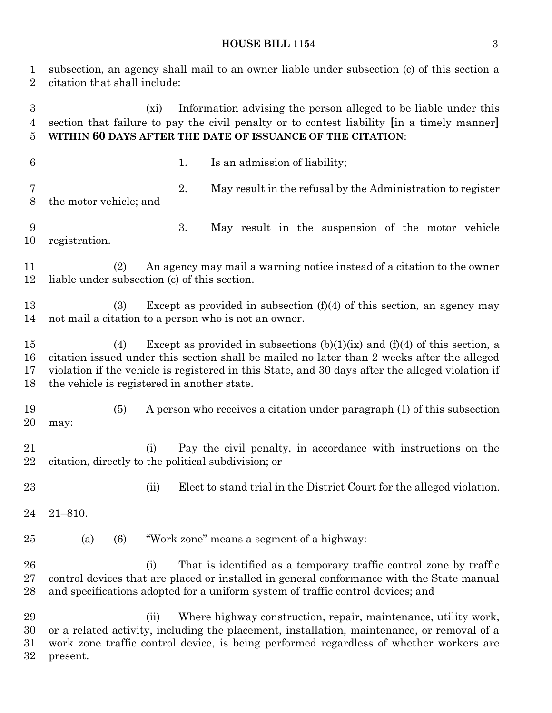#### **HOUSE BILL 1154** 3

 subsection, an agency shall mail to an owner liable under subsection (c) of this section a citation that shall include:

 (xi) Information advising the person alleged to be liable under this section that failure to pay the civil penalty or to contest liability **[**in a timely manner**] WITHIN 60 DAYS AFTER THE DATE OF ISSUANCE OF THE CITATION**:

- 
- 6 1. Is an admission of liability;

 2. May result in the refusal by the Administration to register the motor vehicle; and

 3. May result in the suspension of the motor vehicle registration.

 (2) An agency may mail a warning notice instead of a citation to the owner liable under subsection (c) of this section.

 (3) Except as provided in subsection (f)(4) of this section, an agency may not mail a citation to a person who is not an owner.

 (4) Except as provided in subsections (b)(1)(ix) and (f)(4) of this section, a citation issued under this section shall be mailed no later than 2 weeks after the alleged violation if the vehicle is registered in this State, and 30 days after the alleged violation if the vehicle is registered in another state.

 (5) A person who receives a citation under paragraph (1) of this subsection may:

 (i) Pay the civil penalty, in accordance with instructions on the citation, directly to the political subdivision; or

23 (ii) Elect to stand trial in the District Court for the alleged violation.

21–810.

(a) (6) "Work zone" means a segment of a highway:

 (i) That is identified as a temporary traffic control zone by traffic control devices that are placed or installed in general conformance with the State manual and specifications adopted for a uniform system of traffic control devices; and

 (ii) Where highway construction, repair, maintenance, utility work, or a related activity, including the placement, installation, maintenance, or removal of a work zone traffic control device, is being performed regardless of whether workers are present.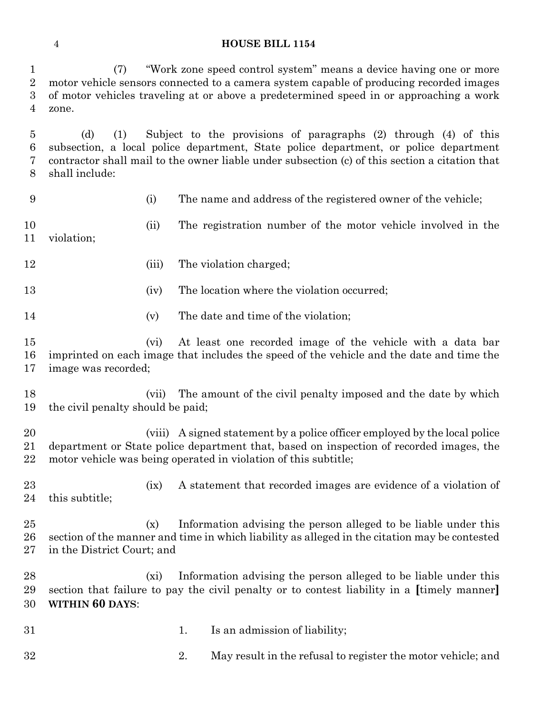#### **HOUSE BILL 1154**

 (7) "Work zone speed control system" means a device having one or more motor vehicle sensors connected to a camera system capable of producing recorded images of motor vehicles traveling at or above a predetermined speed in or approaching a work zone.

 (d) (1) Subject to the provisions of paragraphs (2) through (4) of this subsection, a local police department, State police department, or police department contractor shall mail to the owner liable under subsection (c) of this section a citation that shall include:

(i) The name and address of the registered owner of the vehicle;

 (ii) The registration number of the motor vehicle involved in the violation;

12 (iii) The violation charged;

13 (iv) The location where the violation occurred;

14 (v) The date and time of the violation;

 (vi) At least one recorded image of the vehicle with a data bar imprinted on each image that includes the speed of the vehicle and the date and time the image was recorded;

 (vii) The amount of the civil penalty imposed and the date by which the civil penalty should be paid;

 (viii) A signed statement by a police officer employed by the local police department or State police department that, based on inspection of recorded images, the motor vehicle was being operated in violation of this subtitle;

23 (ix) A statement that recorded images are evidence of a violation of this subtitle;

 (x) Information advising the person alleged to be liable under this section of the manner and time in which liability as alleged in the citation may be contested in the District Court; and

 (xi) Information advising the person alleged to be liable under this section that failure to pay the civil penalty or to contest liability in a **[**timely manner**] WITHIN 60 DAYS**:

31 1. Is an admission of liability;

2. May result in the refusal to register the motor vehicle; and